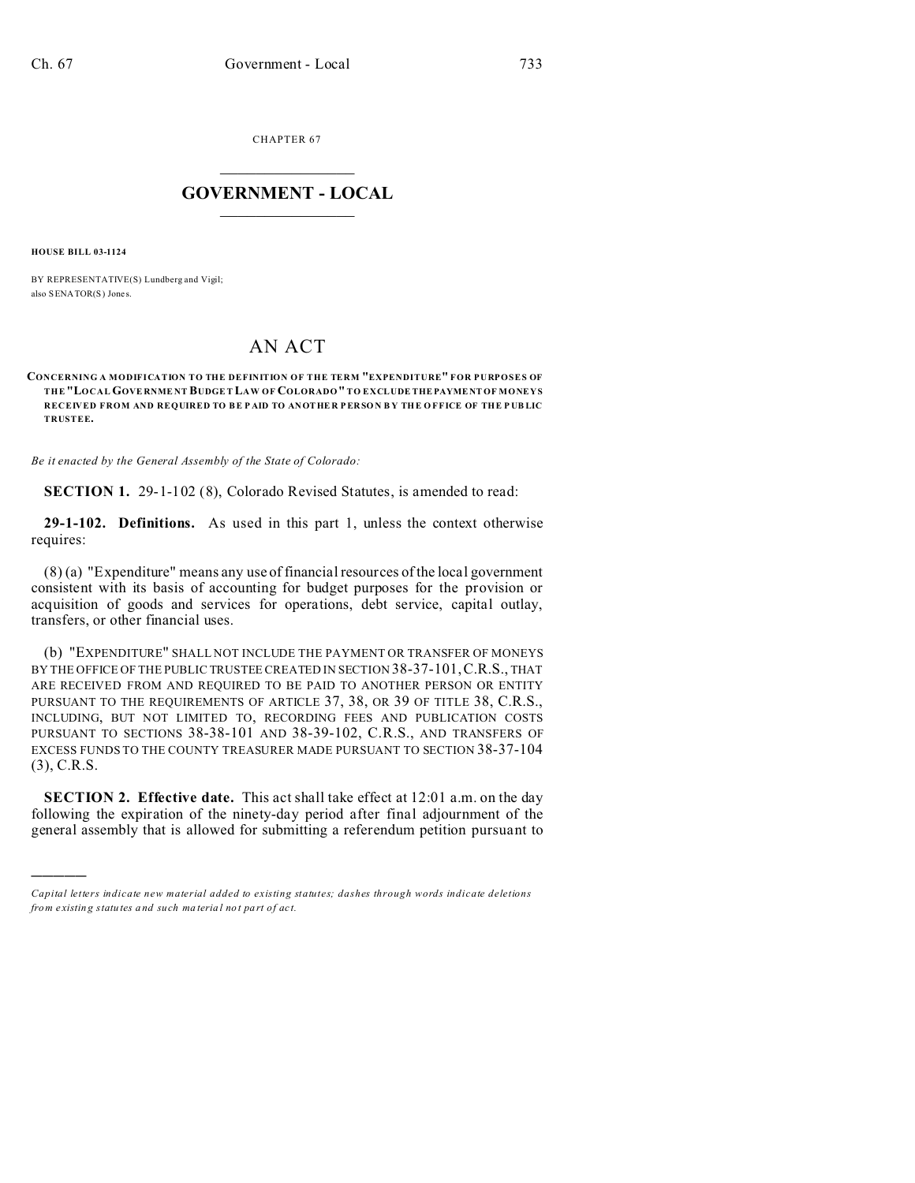CHAPTER 67  $\overline{\phantom{a}}$  , where  $\overline{\phantom{a}}$ 

## **GOVERNMENT - LOCAL**  $\_$   $\_$

**HOUSE BILL 03-1124**

)))))

BY REPRESENTATIVE(S) Lundberg and Vigil; also SENATOR(S) Jones.

## AN ACT

## **CONCERNING A MODIFICATION TO THE DEFINITION OF THE TERM "EXPENDITURE" FOR PURPOSES OF THE "LOCAL GOVE RNME NT BUDGE T LAW OF COLORADO" TO EXCLUDE THEPAYMENT OF MONEYS RECEIVED FROM AND REQUIRED TO BE P AID TO ANOTHE R P ER SO N B Y THE O FFICE OF THE P UB LIC TRUSTEE.**

*Be it enacted by the General Assembly of the State of Colorado:*

**SECTION 1.** 29-1-102 (8), Colorado Revised Statutes, is amended to read:

**29-1-102. Definitions.** As used in this part 1, unless the context otherwise requires:

(8) (a) "Expenditure" means any use of financial resources of the local government consistent with its basis of accounting for budget purposes for the provision or acquisition of goods and services for operations, debt service, capital outlay, transfers, or other financial uses.

(b) "EXPENDITURE" SHALL NOT INCLUDE THE PAYMENT OR TRANSFER OF MONEYS BY THE OFFICE OF THE PUBLIC TRUSTEE CREATED IN SECTION 38-37-101,C.R.S., THAT ARE RECEIVED FROM AND REQUIRED TO BE PAID TO ANOTHER PERSON OR ENTITY PURSUANT TO THE REQUIREMENTS OF ARTICLE 37, 38, OR 39 OF TITLE 38, C.R.S., INCLUDING, BUT NOT LIMITED TO, RECORDING FEES AND PUBLICATION COSTS PURSUANT TO SECTIONS 38-38-101 AND 38-39-102, C.R.S., AND TRANSFERS OF EXCESS FUNDS TO THE COUNTY TREASURER MADE PURSUANT TO SECTION 38-37-104 (3), C.R.S.

**SECTION 2. Effective date.** This act shall take effect at 12:01 a.m. on the day following the expiration of the ninety-day period after final adjournment of the general assembly that is allowed for submitting a referendum petition pursuant to

*Capital letters indicate new material added to existing statutes; dashes through words indicate deletions from e xistin g statu tes a nd such ma teria l no t pa rt of ac t.*